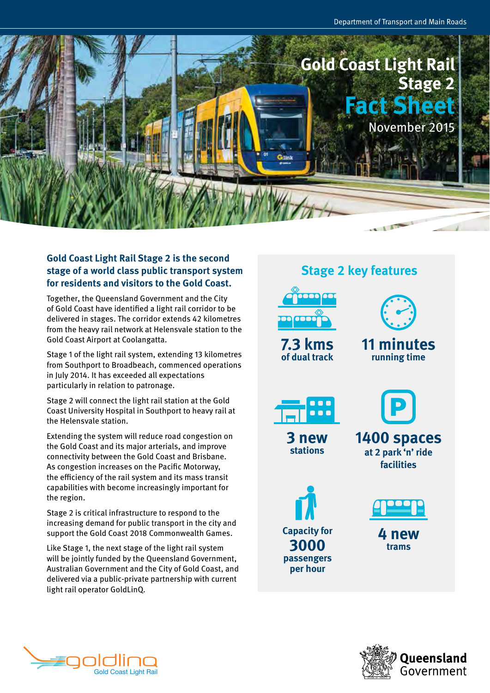

### **Gold Coast Light Rail Stage 2 is the second stage of a world class public transport system for residents and visitors to the Gold Coast.**

Together, the Queensland Government and the City of Gold Coast have identified a light rail corridor to be delivered in stages. The corridor extends 42 kilometres from the heavy rail network at Helensvale station to the Gold Coast Airport at Coolangatta.

Stage 1 of the light rail system, extending 13 kilometres from Southport to Broadbeach, commenced operations in July 2014. It has exceeded all expectations particularly in relation to patronage.

Stage 2 will connect the light rail station at the Gold Coast University Hospital in Southport to heavy rail at the Helensvale station.

Extending the system will reduce road congestion on the Gold Coast and its major arterials, and improve connectivity between the Gold Coast and Brisbane. As congestion increases on the Pacific Motorway, the efficiency of the rail system and its mass transit capabilities with become increasingly important for the region.

Stage 2 is critical infrastructure to respond to the increasing demand for public transport in the city and support the Gold Coast 2018 Commonwealth Games.

Like Stage 1, the next stage of the light rail system will be jointly funded by the Queensland Government, Australian Government and the City of Gold Coast, and delivered via a public-private partnership with current light rail operator GoldLinQ.

## **Stage 2 key features**



**7.3 kms of dual track**



### **11 minutes running time**



**3 new stations**

**1400 spaces at 2 park 'n' ride facilities**





**4 new trams**



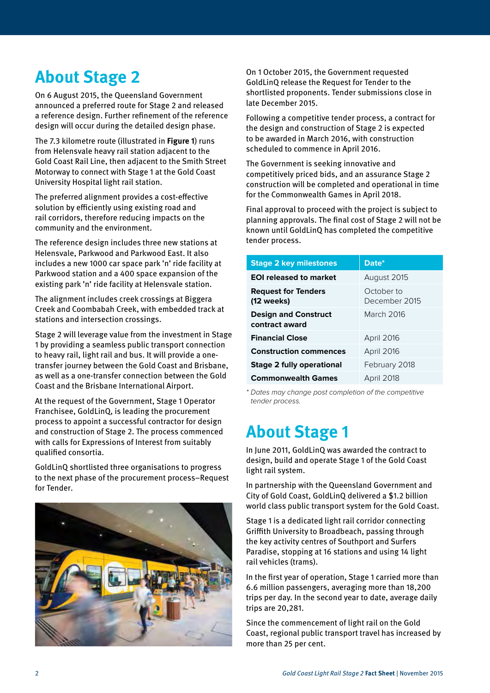# **About Stage 2**

On 6 August 2015, the Queensland Government announced a preferred route for Stage 2 and released a reference design. Further refinement of the reference design will occur during the detailed design phase.

The 7.3 kilometre route (illustrated in **Figure 1**) runs from Helensvale heavy rail station adjacent to the Gold Coast Rail Line, then adjacent to the Smith Street Motorway to connect with Stage 1 at the Gold Coast University Hospital light rail station.

The preferred alignment provides a cost-effective solution by efficiently using existing road and rail corridors, therefore reducing impacts on the community and the environment.

The reference design includes three new stations at Helensvale, Parkwood and Parkwood East. It also includes a new 1000 car space park 'n' ride facility at Parkwood station and a 400 space expansion of the existing park 'n' ride facility at Helensvale station.

The alignment includes creek crossings at Biggera Creek and Coombabah Creek, with embedded track at stations and intersection crossings.

Stage 2 will leverage value from the investment in Stage 1 by providing a seamless public transport connection to heavy rail, light rail and bus. It will provide a onetransfer journey between the Gold Coast and Brisbane, as well as a one-transfer connection between the Gold Coast and the Brisbane International Airport.

At the request of the Government, Stage 1 Operator Franchisee, GoldLinQ, is leading the procurement process to appoint a successful contractor for design and construction of Stage 2. The process commenced with calls for Expressions of Interest from suitably qualified consortia.

GoldLinQ shortlisted three organisations to progress to the next phase of the procurement process–Request for Tender.



On 1 October 2015, the Government requested GoldLinQ release the Request for Tender to the shortlisted proponents. Tender submissions close in late December 2015.

Following a competitive tender process, a contract for the design and construction of Stage 2 is expected to be awarded in March 2016, with construction scheduled to commence in April 2016.

The Government is seeking innovative and competitively priced bids, and an assurance Stage 2 construction will be completed and operational in time for the Commonwealth Games in April 2018.

Final approval to proceed with the project is subject to planning approvals. The final cost of Stage 2 will not be known until GoldLinQ has completed the competitive tender process.

| <b>Stage 2 key milestones</b>                 | Date*                       |
|-----------------------------------------------|-----------------------------|
| <b>EOI</b> released to market                 | August 2015                 |
| <b>Request for Tenders</b><br>(12 weeks)      | October to<br>December 2015 |
| <b>Design and Construct</b><br>contract award | March 2016                  |
| <b>Financial Close</b>                        | <b>April 2016</b>           |
| <b>Construction commences</b>                 | April 2016                  |
| <b>Stage 2 fully operational</b>              | February 2018               |
| <b>Commonwealth Games</b>                     | April 2018                  |

*\* Dates may change post completion of the competitive tender process.*

# **About Stage 1**

In June 2011, GoldLinQ was awarded the contract to design, build and operate Stage 1 of the Gold Coast light rail system.

In partnership with the Queensland Government and City of Gold Coast, GoldLinQ delivered a \$1.2 billion world class public transport system for the Gold Coast.

Stage 1 is a dedicated light rail corridor connecting Griffith University to Broadbeach, passing through the key activity centres of Southport and Surfers Paradise, stopping at 16 stations and using 14 light rail vehicles (trams).

In the first year of operation, Stage 1 carried more than 6.6 million passengers, averaging more than 18,200 trips per day. In the second year to date, average daily trips are 20,281.

Since the commencement of light rail on the Gold Coast, regional public transport travel has increased by more than 25 per cent.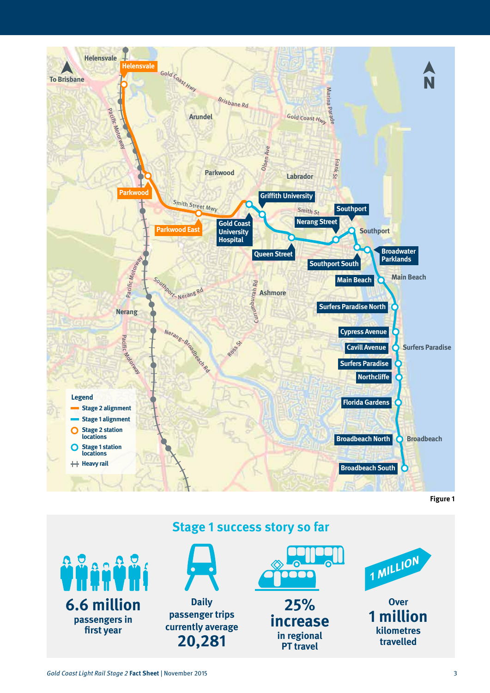

**Figure 1**